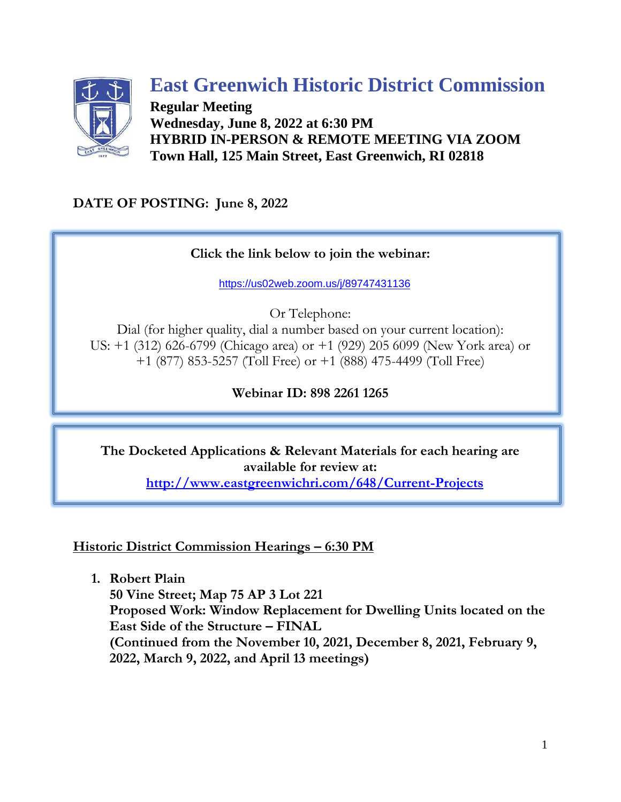

# **East Greenwich Historic District Commission**

**Regular Meeting Wednesday, June 8, 2022 at 6:30 PM HYBRID IN-PERSON & REMOTE MEETING VIA ZOOM Town Hall, 125 Main Street, East Greenwich, RI 02818**

**DATE OF POSTING: June 8, 2022**

## **Click the link below to join the webinar:**

[https://us02web.zoom.us/j/89747431136](https://us02web.zoom.us/j/89822611265)

Or Telephone:

Dial (for higher quality, dial a number based on your current location): US: +1 (312) 626-6799 (Chicago area) or +1 (929) 205 6099 (New York area) or +1 (877) 853-5257 (Toll Free) or +1 (888) 475-4499 (Toll Free)

## **Webinar ID: 898 2261 1265**

**The Docketed Applications & Relevant Materials for each hearing are available for review at: <http://www.eastgreenwichri.com/648/Current-Projects>**

**Historic District Commission Hearings – 6:30 PM**

**1. Robert Plain**

**50 Vine Street; Map 75 AP 3 Lot 221 Proposed Work: Window Replacement for Dwelling Units located on the East Side of the Structure – FINAL (Continued from the November 10, 2021, December 8, 2021, February 9, 2022, March 9, 2022, and April 13 meetings)**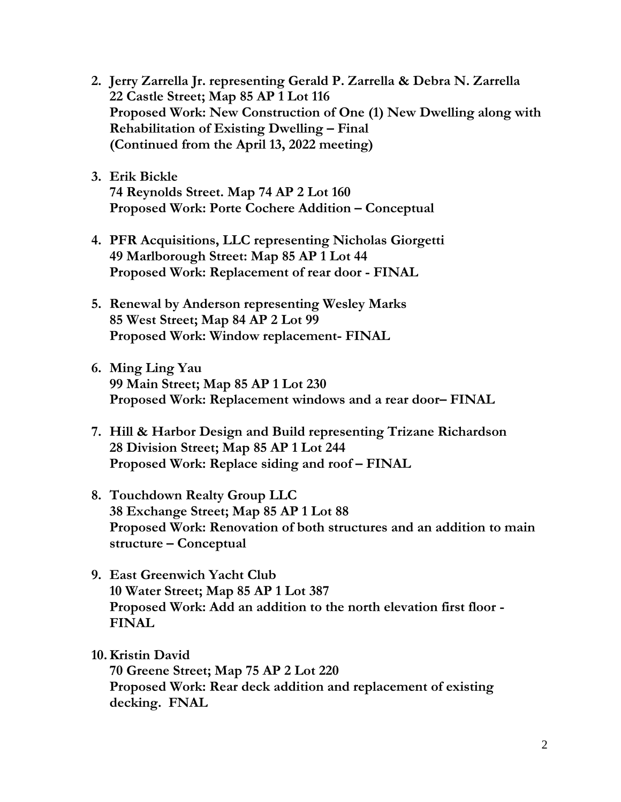- **2. Jerry Zarrella Jr. representing Gerald P. Zarrella & Debra N. Zarrella 22 Castle Street; Map 85 AP 1 Lot 116 Proposed Work: New Construction of One (1) New Dwelling along with Rehabilitation of Existing Dwelling – Final (Continued from the April 13, 2022 meeting)**
- **3. Erik Bickle 74 Reynolds Street. Map 74 AP 2 Lot 160 Proposed Work: Porte Cochere Addition – Conceptual**
- **4. PFR Acquisitions, LLC representing Nicholas Giorgetti 49 Marlborough Street: Map 85 AP 1 Lot 44 Proposed Work: Replacement of rear door - FINAL**
- **5. Renewal by Anderson representing Wesley Marks 85 West Street; Map 84 AP 2 Lot 99 Proposed Work: Window replacement- FINAL**
- **6. Ming Ling Yau 99 Main Street; Map 85 AP 1 Lot 230 Proposed Work: Replacement windows and a rear door– FINAL**
- **7. Hill & Harbor Design and Build representing Trizane Richardson 28 Division Street; Map 85 AP 1 Lot 244 Proposed Work: Replace siding and roof – FINAL**
- **8. Touchdown Realty Group LLC 38 Exchange Street; Map 85 AP 1 Lot 88 Proposed Work: Renovation of both structures and an addition to main structure – Conceptual**
- **9. East Greenwich Yacht Club 10 Water Street; Map 85 AP 1 Lot 387 Proposed Work: Add an addition to the north elevation first floor - FINAL**

#### **10.Kristin David**

**70 Greene Street; Map 75 AP 2 Lot 220 Proposed Work: Rear deck addition and replacement of existing decking. FNAL**